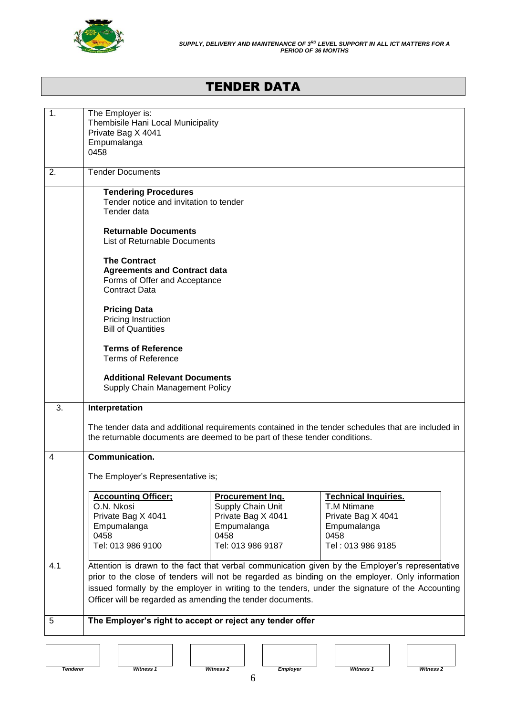

# TENDER DATA

| $\mathbf 1$ .   | The Employer is:<br>Thembisile Hani Local Municipality<br>Private Bag X 4041<br>Empumalanga<br>0458                 |                                                                                                                |                                                                                                                                                                                                                                                                                                        |
|-----------------|---------------------------------------------------------------------------------------------------------------------|----------------------------------------------------------------------------------------------------------------|--------------------------------------------------------------------------------------------------------------------------------------------------------------------------------------------------------------------------------------------------------------------------------------------------------|
| 2.              | <b>Tender Documents</b>                                                                                             |                                                                                                                |                                                                                                                                                                                                                                                                                                        |
|                 | <b>Tendering Procedures</b><br>Tender notice and invitation to tender<br>Tender data                                |                                                                                                                |                                                                                                                                                                                                                                                                                                        |
|                 | <b>Returnable Documents</b><br><b>List of Returnable Documents</b>                                                  |                                                                                                                |                                                                                                                                                                                                                                                                                                        |
|                 | <b>The Contract</b><br><b>Agreements and Contract data</b><br>Forms of Offer and Acceptance<br><b>Contract Data</b> |                                                                                                                |                                                                                                                                                                                                                                                                                                        |
|                 | <b>Pricing Data</b><br>Pricing Instruction<br><b>Bill of Quantities</b>                                             |                                                                                                                |                                                                                                                                                                                                                                                                                                        |
|                 | <b>Terms of Reference</b><br><b>Terms of Reference</b>                                                              |                                                                                                                |                                                                                                                                                                                                                                                                                                        |
|                 | <b>Additional Relevant Documents</b><br>Supply Chain Management Policy                                              |                                                                                                                |                                                                                                                                                                                                                                                                                                        |
| 3.              | Interpretation                                                                                                      |                                                                                                                |                                                                                                                                                                                                                                                                                                        |
|                 | the returnable documents are deemed to be part of these tender conditions.                                          |                                                                                                                | The tender data and additional requirements contained in the tender schedules that are included in                                                                                                                                                                                                     |
| 4               | <b>Communication.</b>                                                                                               |                                                                                                                |                                                                                                                                                                                                                                                                                                        |
|                 | The Employer's Representative is;                                                                                   |                                                                                                                |                                                                                                                                                                                                                                                                                                        |
|                 | <b>Accounting Officer:</b><br>O.N. Nkosi<br>Private Bag X 4041<br>Empumalanga<br>0458<br>Tel: 013 986 9100          | <b>Procurement Ing.</b><br>Supply Chain Unit<br>Private Bag X 4041<br>Empumalanga<br>0458<br>Tel: 013 986 9187 | <b>Technical Inquiries.</b><br>T.M Ntimane<br>Private Bag X 4041<br>Empumalanga<br>0458<br>Tel: 013 986 9185                                                                                                                                                                                           |
| 4.1             | Officer will be regarded as amending the tender documents.                                                          |                                                                                                                | Attention is drawn to the fact that verbal communication given by the Employer's representative<br>prior to the close of tenders will not be regarded as binding on the employer. Only information<br>issued formally by the employer in writing to the tenders, under the signature of the Accounting |
| 5               | The Employer's right to accept or reject any tender offer                                                           |                                                                                                                |                                                                                                                                                                                                                                                                                                        |
|                 |                                                                                                                     |                                                                                                                |                                                                                                                                                                                                                                                                                                        |
| <b>Tenderer</b> | Witness 1                                                                                                           | Witness <sub>2</sub><br><b>Employer</b>                                                                        | Witness 1<br>Witness <sub>2</sub>                                                                                                                                                                                                                                                                      |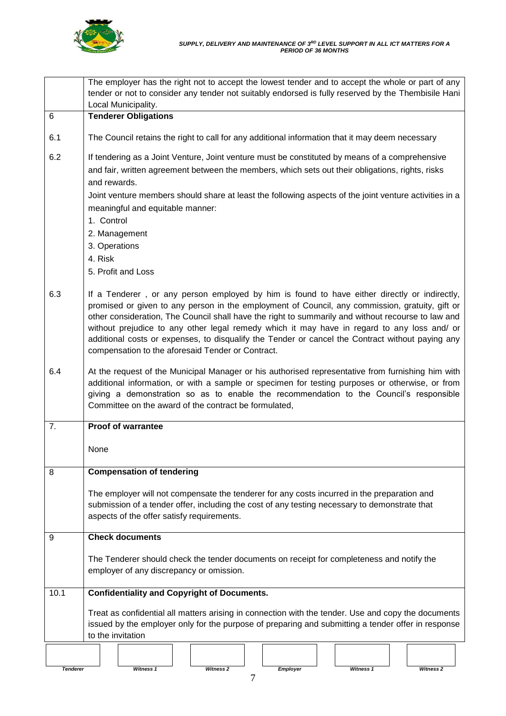

| The employer has the right not to accept the lowest tender and to accept the whole or part of any<br>tender or not to consider any tender not suitably endorsed is fully reserved by the Thembisile Hani<br>Local Municipality.                                                                                                                                                                                                                                                                                                                               |
|---------------------------------------------------------------------------------------------------------------------------------------------------------------------------------------------------------------------------------------------------------------------------------------------------------------------------------------------------------------------------------------------------------------------------------------------------------------------------------------------------------------------------------------------------------------|
| <b>Tenderer Obligations</b>                                                                                                                                                                                                                                                                                                                                                                                                                                                                                                                                   |
| The Council retains the right to call for any additional information that it may deem necessary                                                                                                                                                                                                                                                                                                                                                                                                                                                               |
| If tendering as a Joint Venture, Joint venture must be constituted by means of a comprehensive<br>and fair, written agreement between the members, which sets out their obligations, rights, risks<br>and rewards.<br>Joint venture members should share at least the following aspects of the joint venture activities in a<br>meaningful and equitable manner:<br>1. Control<br>2. Management<br>3. Operations<br>4. Risk<br>5. Profit and Loss                                                                                                             |
| If a Tenderer, or any person employed by him is found to have either directly or indirectly,<br>promised or given to any person in the employment of Council, any commission, gratuity, gift or<br>other consideration, The Council shall have the right to summarily and without recourse to law and<br>without prejudice to any other legal remedy which it may have in regard to any loss and/ or<br>additional costs or expenses, to disqualify the Tender or cancel the Contract without paying any<br>compensation to the aforesaid Tender or Contract. |
| At the request of the Municipal Manager or his authorised representative from furnishing him with<br>additional information, or with a sample or specimen for testing purposes or otherwise, or from<br>giving a demonstration so as to enable the recommendation to the Council's responsible<br>Committee on the award of the contract be formulated,                                                                                                                                                                                                       |
| <b>Proof of warrantee</b>                                                                                                                                                                                                                                                                                                                                                                                                                                                                                                                                     |
| None                                                                                                                                                                                                                                                                                                                                                                                                                                                                                                                                                          |
| <b>Compensation of tendering</b>                                                                                                                                                                                                                                                                                                                                                                                                                                                                                                                              |
| The employer will not compensate the tenderer for any costs incurred in the preparation and<br>submission of a tender offer, including the cost of any testing necessary to demonstrate that<br>aspects of the offer satisfy requirements.                                                                                                                                                                                                                                                                                                                    |
| <b>Check documents</b>                                                                                                                                                                                                                                                                                                                                                                                                                                                                                                                                        |
| The Tenderer should check the tender documents on receipt for completeness and notify the<br>employer of any discrepancy or omission.                                                                                                                                                                                                                                                                                                                                                                                                                         |
| <b>Confidentiality and Copyright of Documents.</b>                                                                                                                                                                                                                                                                                                                                                                                                                                                                                                            |
| Treat as confidential all matters arising in connection with the tender. Use and copy the documents<br>issued by the employer only for the purpose of preparing and submitting a tender offer in response<br>to the invitation                                                                                                                                                                                                                                                                                                                                |
| Witness 1<br>Witness <sub>2</sub><br>Witness 1<br>Witness <sub>2</sub><br><b>Employer</b>                                                                                                                                                                                                                                                                                                                                                                                                                                                                     |
| <b>Tenderer</b>                                                                                                                                                                                                                                                                                                                                                                                                                                                                                                                                               |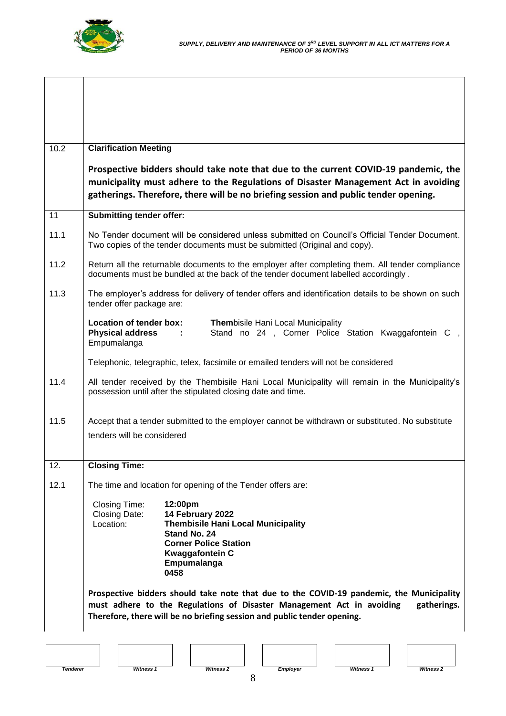

| 10.2 | <b>Clarification Meeting</b>                                                                                                                                                                                                                                     |
|------|------------------------------------------------------------------------------------------------------------------------------------------------------------------------------------------------------------------------------------------------------------------|
|      | Prospective bidders should take note that due to the current COVID-19 pandemic, the<br>municipality must adhere to the Regulations of Disaster Management Act in avoiding<br>gatherings. Therefore, there will be no briefing session and public tender opening. |
| 11   | <b>Submitting tender offer:</b>                                                                                                                                                                                                                                  |
| 11.1 | No Tender document will be considered unless submitted on Council's Official Tender Document.<br>Two copies of the tender documents must be submitted (Original and copy).                                                                                       |
| 11.2 | Return all the returnable documents to the employer after completing them. All tender compliance<br>documents must be bundled at the back of the tender document labelled accordingly.                                                                           |
| 11.3 | The employer's address for delivery of tender offers and identification details to be shown on such<br>tender offer package are:                                                                                                                                 |
|      | Location of tender box:<br><b>Thembisile Hani Local Municipality</b><br>Stand no 24, Corner Police Station Kwaggafontein C,<br><b>Physical address</b><br>$\sim$ 100 $\pm$<br>Empumalanga                                                                        |
|      | Telephonic, telegraphic, telex, facsimile or emailed tenders will not be considered                                                                                                                                                                              |
| 11.4 | All tender received by the Thembisile Hani Local Municipality will remain in the Municipality's<br>possession until after the stipulated closing date and time.                                                                                                  |
| 11.5 | Accept that a tender submitted to the employer cannot be withdrawn or substituted. No substitute                                                                                                                                                                 |
|      | tenders will be considered                                                                                                                                                                                                                                       |
| 12.  | <b>Closing Time:</b>                                                                                                                                                                                                                                             |
| 12.1 | The time and location for opening of the Tender offers are:                                                                                                                                                                                                      |
|      | <b>Closing Time:</b><br>12:00pm<br>14 February 2022<br>Closing Date:<br>Location:<br><b>Thembisile Hani Local Municipality</b><br>Stand No. 24<br><b>Corner Police Station</b><br><b>Kwaggafontein C</b><br>Empumalanga<br>0458                                  |
|      | Prospective bidders should take note that due to the COVID-19 pandemic, the Municipality<br>must adhere to the Regulations of Disaster Management Act in avoiding<br>gatherings.<br>Therefore, there will be no briefing session and public tender opening.      |
|      |                                                                                                                                                                                                                                                                  |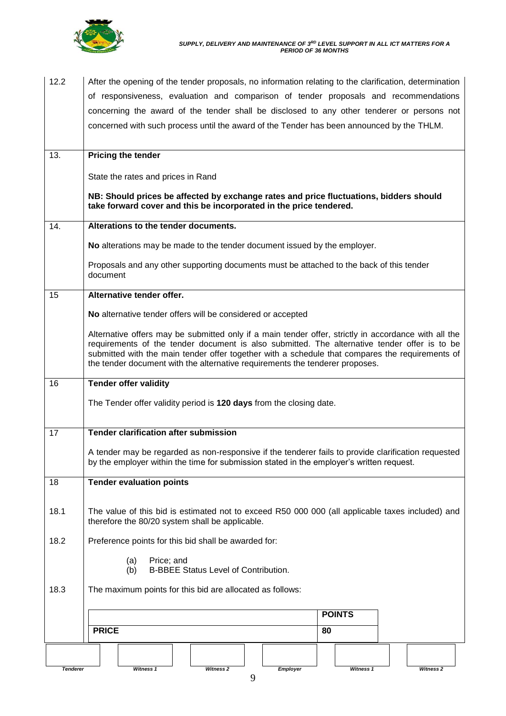

| 12.2 | After the opening of the tender proposals, no information relating to the clarification, determination                                                                                               |
|------|------------------------------------------------------------------------------------------------------------------------------------------------------------------------------------------------------|
|      | of responsiveness, evaluation and comparison of tender proposals and recommendations                                                                                                                 |
|      | concerning the award of the tender shall be disclosed to any other tenderer or persons not                                                                                                           |
|      | concerned with such process until the award of the Tender has been announced by the THLM.                                                                                                            |
|      |                                                                                                                                                                                                      |
| 13.  | <b>Pricing the tender</b>                                                                                                                                                                            |
|      |                                                                                                                                                                                                      |
|      | State the rates and prices in Rand                                                                                                                                                                   |
|      | NB: Should prices be affected by exchange rates and price fluctuations, bidders should<br>take forward cover and this be incorporated in the price tendered.                                         |
| 14.  | Alterations to the tender documents.                                                                                                                                                                 |
|      | No alterations may be made to the tender document issued by the employer.                                                                                                                            |
|      | Proposals and any other supporting documents must be attached to the back of this tender<br>document                                                                                                 |
| 15   | Alternative tender offer.                                                                                                                                                                            |
|      | No alternative tender offers will be considered or accepted                                                                                                                                          |
|      | Alternative offers may be submitted only if a main tender offer, strictly in accordance with all the<br>requirements of the tender document is also submitted. The alternative tender offer is to be |
|      | submitted with the main tender offer together with a schedule that compares the requirements of                                                                                                      |
|      | the tender document with the alternative requirements the tenderer proposes.                                                                                                                         |
|      |                                                                                                                                                                                                      |
|      |                                                                                                                                                                                                      |
| 16   | <b>Tender offer validity</b>                                                                                                                                                                         |
|      | The Tender offer validity period is 120 days from the closing date.                                                                                                                                  |
|      |                                                                                                                                                                                                      |
| 17   | <b>Tender clarification after submission</b>                                                                                                                                                         |
|      | A tender may be regarded as non-responsive if the tenderer fails to provide clarification requested                                                                                                  |
|      | by the employer within the time for submission stated in the employer's written request.                                                                                                             |
|      |                                                                                                                                                                                                      |
| 18   | <b>Tender evaluation points</b>                                                                                                                                                                      |
|      |                                                                                                                                                                                                      |
| 18.1 | The value of this bid is estimated not to exceed R50 000 000 (all applicable taxes included) and                                                                                                     |
|      | therefore the 80/20 system shall be applicable.                                                                                                                                                      |
| 18.2 | Preference points for this bid shall be awarded for:                                                                                                                                                 |
|      | (a)<br>Price; and<br>(b)<br><b>B-BBEE Status Level of Contribution.</b>                                                                                                                              |
|      |                                                                                                                                                                                                      |
| 18.3 | The maximum points for this bid are allocated as follows:                                                                                                                                            |
|      | <b>POINTS</b>                                                                                                                                                                                        |
|      | <b>PRICE</b><br>80                                                                                                                                                                                   |
|      |                                                                                                                                                                                                      |
|      |                                                                                                                                                                                                      |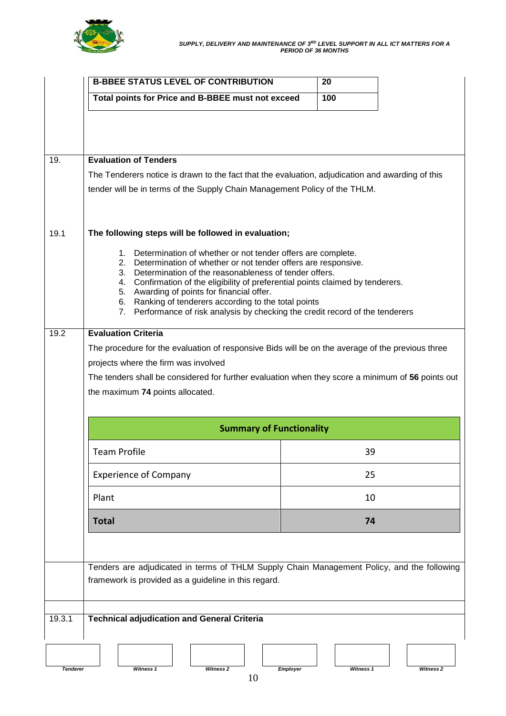

|                 | <b>B-BBEE STATUS LEVEL OF CONTRIBUTION</b>                                                                                                                                                                                                                                                                                            | 20        |                      |
|-----------------|---------------------------------------------------------------------------------------------------------------------------------------------------------------------------------------------------------------------------------------------------------------------------------------------------------------------------------------|-----------|----------------------|
|                 | Total points for Price and B-BBEE must not exceed                                                                                                                                                                                                                                                                                     | 100       |                      |
|                 |                                                                                                                                                                                                                                                                                                                                       |           |                      |
| 19.             | <b>Evaluation of Tenders</b>                                                                                                                                                                                                                                                                                                          |           |                      |
|                 | The Tenderers notice is drawn to the fact that the evaluation, adjudication and awarding of this                                                                                                                                                                                                                                      |           |                      |
|                 | tender will be in terms of the Supply Chain Management Policy of the THLM.                                                                                                                                                                                                                                                            |           |                      |
| 19.1            | The following steps will be followed in evaluation;                                                                                                                                                                                                                                                                                   |           |                      |
|                 | 1. Determination of whether or not tender offers are complete.<br>2. Determination of whether or not tender offers are responsive.<br>Determination of the reasonableness of tender offers.<br>3.<br>Confirmation of the eligibility of preferential points claimed by tenderers.<br>4.<br>5. Awarding of points for financial offer. |           |                      |
|                 | Ranking of tenderers according to the total points<br>6.<br>Performance of risk analysis by checking the credit record of the tenderers<br>7.                                                                                                                                                                                         |           |                      |
| 19.2            | <b>Evaluation Criteria</b>                                                                                                                                                                                                                                                                                                            |           |                      |
|                 | The procedure for the evaluation of responsive Bids will be on the average of the previous three                                                                                                                                                                                                                                      |           |                      |
|                 | projects where the firm was involved                                                                                                                                                                                                                                                                                                  |           |                      |
|                 | The tenders shall be considered for further evaluation when they score a minimum of 56 points out                                                                                                                                                                                                                                     |           |                      |
|                 | the maximum 74 points allocated.                                                                                                                                                                                                                                                                                                      |           |                      |
|                 | <b>Summary of Functionality</b>                                                                                                                                                                                                                                                                                                       |           |                      |
|                 | <b>Team Profile</b>                                                                                                                                                                                                                                                                                                                   | 39        |                      |
|                 | <b>Experience of Company</b>                                                                                                                                                                                                                                                                                                          | 25        |                      |
|                 | Plant                                                                                                                                                                                                                                                                                                                                 | 10        |                      |
|                 | <b>Total</b>                                                                                                                                                                                                                                                                                                                          | 74        |                      |
|                 |                                                                                                                                                                                                                                                                                                                                       |           |                      |
|                 | Tenders are adjudicated in terms of THLM Supply Chain Management Policy, and the following<br>framework is provided as a guideline in this regard.                                                                                                                                                                                    |           |                      |
| 19.3.1          | <b>Technical adjudication and General Criteria</b>                                                                                                                                                                                                                                                                                    |           |                      |
|                 |                                                                                                                                                                                                                                                                                                                                       |           |                      |
| <b>Tenderer</b> | Witness 1<br>Witness <sub>2</sub><br><b>Employer</b><br>10                                                                                                                                                                                                                                                                            | Witness 1 | Witness <sub>2</sub> |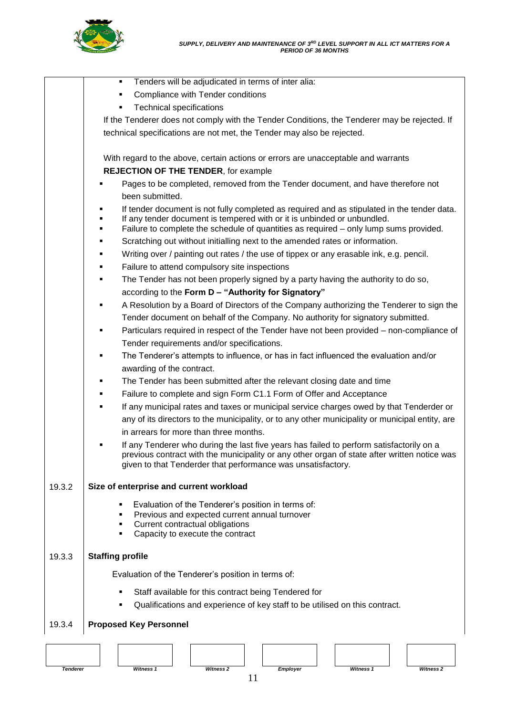

|        | Tenders will be adjudicated in terms of inter alia:<br>٠                                                                                                                                 |
|--------|------------------------------------------------------------------------------------------------------------------------------------------------------------------------------------------|
|        | Compliance with Tender conditions<br>٠                                                                                                                                                   |
|        | <b>Technical specifications</b><br>п                                                                                                                                                     |
|        | If the Tenderer does not comply with the Tender Conditions, the Tenderer may be rejected. If                                                                                             |
|        | technical specifications are not met, the Tender may also be rejected.                                                                                                                   |
|        |                                                                                                                                                                                          |
|        | With regard to the above, certain actions or errors are unacceptable and warrants                                                                                                        |
|        | <b>REJECTION OF THE TENDER, for example</b>                                                                                                                                              |
|        | Pages to be completed, removed from the Tender document, and have therefore not                                                                                                          |
|        | been submitted.                                                                                                                                                                          |
|        | If tender document is not fully completed as required and as stipulated in the tender data.                                                                                              |
|        | If any tender document is tempered with or it is unbinded or unbundled.                                                                                                                  |
|        | Failure to complete the schedule of quantities as required – only lump sums provided.<br>٠                                                                                               |
|        | Scratching out without initialling next to the amended rates or information.<br>٠                                                                                                        |
|        | Writing over / painting out rates / the use of tippex or any erasable ink, e.g. pencil.                                                                                                  |
|        | Failure to attend compulsory site inspections<br>٠                                                                                                                                       |
|        | The Tender has not been properly signed by a party having the authority to do so,<br>٠<br>according to the Form D - "Authority for Signatory"                                            |
|        |                                                                                                                                                                                          |
|        | A Resolution by a Board of Directors of the Company authorizing the Tenderer to sign the<br>٠                                                                                            |
|        | Tender document on behalf of the Company. No authority for signatory submitted.                                                                                                          |
|        | Particulars required in respect of the Tender have not been provided - non-compliance of                                                                                                 |
|        | Tender requirements and/or specifications.<br>٠                                                                                                                                          |
|        | The Tenderer's attempts to influence, or has in fact influenced the evaluation and/or                                                                                                    |
|        | awarding of the contract.                                                                                                                                                                |
|        | The Tender has been submitted after the relevant closing date and time<br>Failure to complete and sign Form C1.1 Form of Offer and Acceptance<br>٠                                       |
|        | If any municipal rates and taxes or municipal service charges owed by that Tenderder or                                                                                                  |
|        | any of its directors to the municipality, or to any other municipality or municipal entity, are                                                                                          |
|        | in arrears for more than three months.                                                                                                                                                   |
|        |                                                                                                                                                                                          |
|        | If any Tenderer who during the last five years has failed to perform satisfactorily on a<br>previous contract with the municipality or any other organ of state after written notice was |
|        | given to that Tenderder that performance was unsatisfactory.                                                                                                                             |
|        |                                                                                                                                                                                          |
| 19.3.2 | Size of enterprise and current workload                                                                                                                                                  |
|        | Evaluation of the Tenderer's position in terms of:                                                                                                                                       |
|        | Previous and expected current annual turnover<br>٠                                                                                                                                       |
|        | Current contractual obligations<br>٠<br>Capacity to execute the contract                                                                                                                 |
|        |                                                                                                                                                                                          |
| 19.3.3 | <b>Staffing profile</b>                                                                                                                                                                  |
|        | Evaluation of the Tenderer's position in terms of:                                                                                                                                       |
|        |                                                                                                                                                                                          |
|        | Staff available for this contract being Tendered for                                                                                                                                     |
|        | Qualifications and experience of key staff to be utilised on this contract.                                                                                                              |
| 19.3.4 | <b>Proposed Key Personnel</b>                                                                                                                                                            |
|        |                                                                                                                                                                                          |
|        |                                                                                                                                                                                          |





11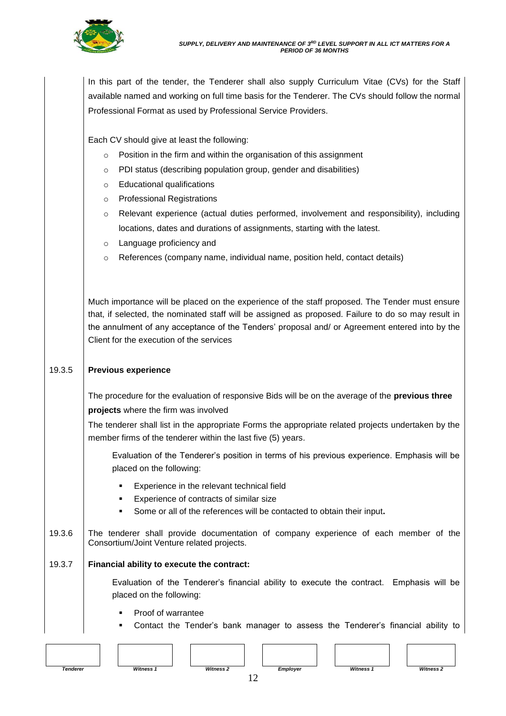

In this part of the tender, the Tenderer shall also supply Curriculum Vitae (CVs) for the Staff available named and working on full time basis for the Tenderer. The CVs should follow the normal Professional Format as used by Professional Service Providers.

Each CV should give at least the following:

- o Position in the firm and within the organisation of this assignment
- o PDI status (describing population group, gender and disabilities)
- o Educational qualifications
- o Professional Registrations
- o Relevant experience (actual duties performed, involvement and responsibility), including locations, dates and durations of assignments, starting with the latest.
- o Language proficiency and
- o References (company name, individual name, position held, contact details)

Much importance will be placed on the experience of the staff proposed. The Tender must ensure that, if selected, the nominated staff will be assigned as proposed. Failure to do so may result in the annulment of any acceptance of the Tenders' proposal and/ or Agreement entered into by the Client for the execution of the services

#### 19.3.5 **Previous experience**

The procedure for the evaluation of responsive Bids will be on the average of the **previous three projects** where the firm was involved

The tenderer shall list in the appropriate Forms the appropriate related projects undertaken by the member firms of the tenderer within the last five (5) years.

Evaluation of the Tenderer's position in terms of his previous experience. Emphasis will be placed on the following:

- Experience in the relevant technical field
- Experience of contracts of similar size
- Some or all of the references will be contacted to obtain their input**.**
- 19.3.6 The tenderer shall provide documentation of company experience of each member of the Consortium/Joint Venture related projects.

#### 19.3.7 **Financial ability to execute the contract:**

Evaluation of the Tenderer's financial ability to execute the contract. Emphasis will be placed on the following:

- Proof of warrantee
- Contact the Tender's bank manager to assess the Tenderer's financial ability to

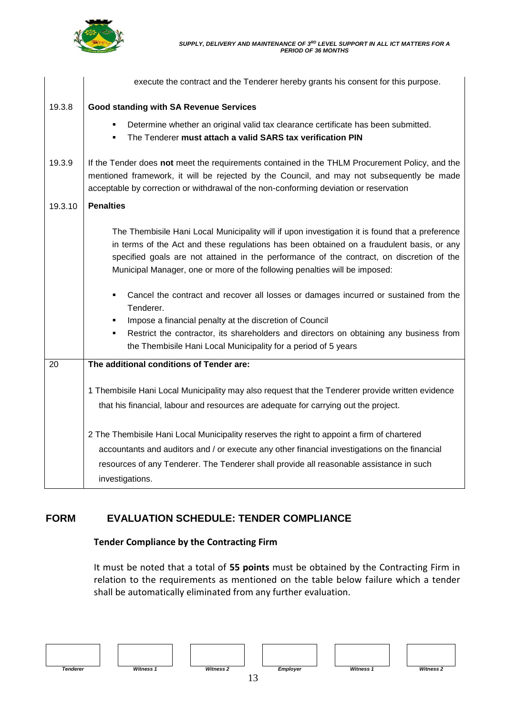

|         | execute the contract and the Tenderer hereby grants his consent for this purpose.                                                                                                                                                                                                                                                                                       |
|---------|-------------------------------------------------------------------------------------------------------------------------------------------------------------------------------------------------------------------------------------------------------------------------------------------------------------------------------------------------------------------------|
| 19.3.8  | <b>Good standing with SA Revenue Services</b>                                                                                                                                                                                                                                                                                                                           |
|         | Determine whether an original valid tax clearance certificate has been submitted.<br>٠<br>The Tenderer must attach a valid SARS tax verification PIN<br>٠                                                                                                                                                                                                               |
| 19.3.9  | If the Tender does not meet the requirements contained in the THLM Procurement Policy, and the<br>mentioned framework, it will be rejected by the Council, and may not subsequently be made<br>acceptable by correction or withdrawal of the non-conforming deviation or reservation                                                                                    |
| 19.3.10 | <b>Penalties</b>                                                                                                                                                                                                                                                                                                                                                        |
|         | The Thembisile Hani Local Municipality will if upon investigation it is found that a preference<br>in terms of the Act and these regulations has been obtained on a fraudulent basis, or any<br>specified goals are not attained in the performance of the contract, on discretion of the<br>Municipal Manager, one or more of the following penalties will be imposed: |
|         | Cancel the contract and recover all losses or damages incurred or sustained from the<br>٠<br>Tenderer.                                                                                                                                                                                                                                                                  |
|         | Impose a financial penalty at the discretion of Council<br>٠                                                                                                                                                                                                                                                                                                            |
|         | Restrict the contractor, its shareholders and directors on obtaining any business from<br>٠<br>the Thembisile Hani Local Municipality for a period of 5 years                                                                                                                                                                                                           |
| 20      | The additional conditions of Tender are:                                                                                                                                                                                                                                                                                                                                |
|         | 1 Thembisile Hani Local Municipality may also request that the Tenderer provide written evidence<br>that his financial, labour and resources are adequate for carrying out the project.                                                                                                                                                                                 |
|         | 2 The Thembisile Hani Local Municipality reserves the right to appoint a firm of chartered<br>accountants and auditors and / or execute any other financial investigations on the financial<br>resources of any Tenderer. The Tenderer shall provide all reasonable assistance in such<br>investigations.                                                               |

## **FORM EVALUATION SCHEDULE: TENDER COMPLIANCE**

### **Tender Compliance by the Contracting Firm**

It must be noted that a total of **55 points** must be obtained by the Contracting Firm in relation to the requirements as mentioned on the table below failure which a tender shall be automatically eliminated from any further evaluation.

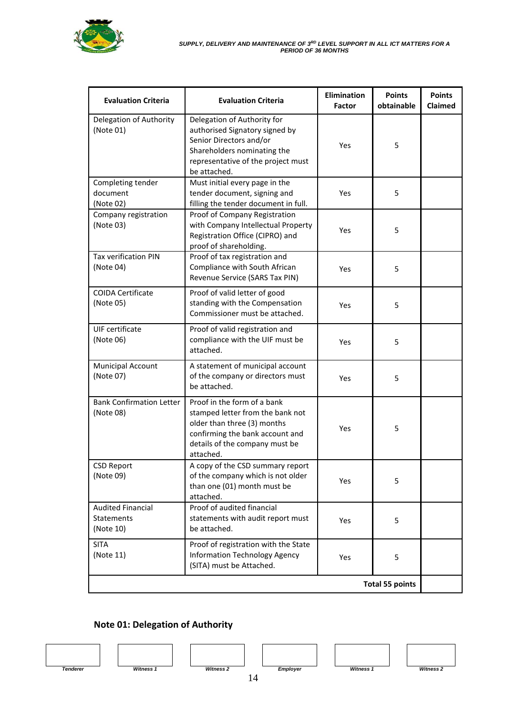

| <b>Evaluation Criteria</b>                          | <b>Evaluation Criteria</b>                                                                                                                                                       | <b>Elimination</b><br>Factor | <b>Points</b><br>obtainable | <b>Points</b><br><b>Claimed</b> |
|-----------------------------------------------------|----------------------------------------------------------------------------------------------------------------------------------------------------------------------------------|------------------------------|-----------------------------|---------------------------------|
| Delegation of Authority<br>(Note 01)                | Delegation of Authority for<br>authorised Signatory signed by<br>Senior Directors and/or<br>Shareholders nominating the<br>representative of the project must<br>be attached.    | Yes                          | 5                           |                                 |
| Completing tender<br>document<br>(Note 02)          | Must initial every page in the<br>tender document, signing and<br>filling the tender document in full.                                                                           | Yes                          | 5                           |                                 |
| Company registration<br>(Note 03)                   | Proof of Company Registration<br>with Company Intellectual Property<br>Registration Office (CIPRO) and<br>proof of shareholding.                                                 | Yes                          | 5                           |                                 |
| Tax verification PIN<br>(Note 04)                   | Proof of tax registration and<br>Compliance with South African<br>Revenue Service (SARS Tax PIN)                                                                                 | Yes                          | 5                           |                                 |
| <b>COIDA Certificate</b><br>(Note 05)               | Proof of valid letter of good<br>standing with the Compensation<br>Commissioner must be attached.                                                                                | Yes                          | 5                           |                                 |
| UIF certificate<br>(Note 06)                        | Proof of valid registration and<br>compliance with the UIF must be<br>attached.                                                                                                  | Yes                          | 5                           |                                 |
| <b>Municipal Account</b><br>(Note 07)               | A statement of municipal account<br>of the company or directors must<br>be attached.                                                                                             | Yes                          | 5                           |                                 |
| <b>Bank Confirmation Letter</b><br>(Note 08)        | Proof in the form of a bank<br>stamped letter from the bank not<br>older than three (3) months<br>confirming the bank account and<br>details of the company must be<br>attached. | Yes                          | 5                           |                                 |
| <b>CSD Report</b><br>(Note 09)                      | A copy of the CSD summary report<br>of the company which is not older<br>than one (01) month must be<br>attached.                                                                | Yes                          | 5                           |                                 |
| <b>Audited Financial</b><br>Statements<br>(Note 10) | Proof of audited financial<br>statements with audit report must<br>be attached.                                                                                                  | Yes                          | 5                           |                                 |
| <b>SITA</b><br>(Note 11)                            | Proof of registration with the State<br><b>Information Technology Agency</b><br>(SITA) must be Attached.                                                                         | Yes                          | 5                           |                                 |
|                                                     |                                                                                                                                                                                  |                              | <b>Total 55 points</b>      |                                 |

## **Note 01: Delegation of Authority**





14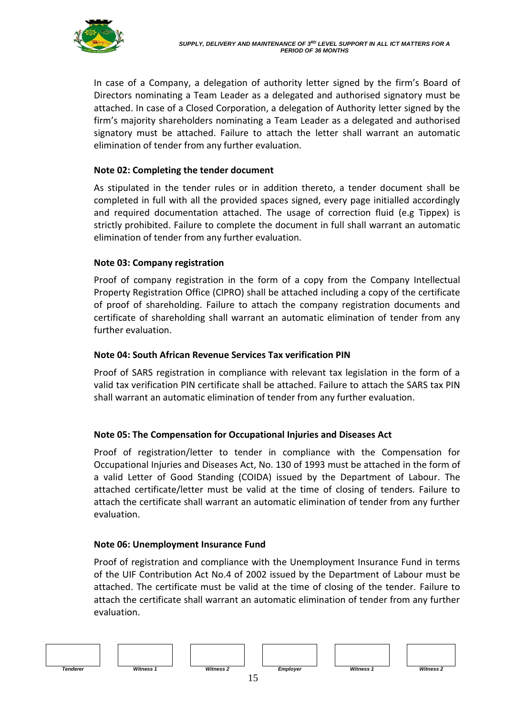

In case of a Company, a delegation of authority letter signed by the firm's Board of Directors nominating a Team Leader as a delegated and authorised signatory must be attached. In case of a Closed Corporation, a delegation of Authority letter signed by the firm's majority shareholders nominating a Team Leader as a delegated and authorised signatory must be attached. Failure to attach the letter shall warrant an automatic elimination of tender from any further evaluation.

### **Note 02: Completing the tender document**

As stipulated in the tender rules or in addition thereto, a tender document shall be completed in full with all the provided spaces signed, every page initialled accordingly and required documentation attached. The usage of correction fluid (e.g Tippex) is strictly prohibited. Failure to complete the document in full shall warrant an automatic elimination of tender from any further evaluation.

#### **Note 03: Company registration**

Proof of company registration in the form of a copy from the Company Intellectual Property Registration Office (CIPRO) shall be attached including a copy of the certificate of proof of shareholding. Failure to attach the company registration documents and certificate of shareholding shall warrant an automatic elimination of tender from any further evaluation.

#### **Note 04: South African Revenue Services Tax verification PIN**

Proof of SARS registration in compliance with relevant tax legislation in the form of a valid tax verification PIN certificate shall be attached. Failure to attach the SARS tax PIN shall warrant an automatic elimination of tender from any further evaluation.

### **Note 05: The Compensation for Occupational Injuries and Diseases Act**

Proof of registration/letter to tender in compliance with the Compensation for Occupational Injuries and Diseases Act, No. 130 of 1993 must be attached in the form of a valid Letter of Good Standing (COIDA) issued by the Department of Labour. The attached certificate/letter must be valid at the time of closing of tenders. Failure to attach the certificate shall warrant an automatic elimination of tender from any further evaluation.

#### **Note 06: Unemployment Insurance Fund**

Proof of registration and compliance with the Unemployment Insurance Fund in terms of the UIF Contribution Act No.4 of 2002 issued by the Department of Labour must be attached. The certificate must be valid at the time of closing of the tender. Failure to attach the certificate shall warrant an automatic elimination of tender from any further evaluation.

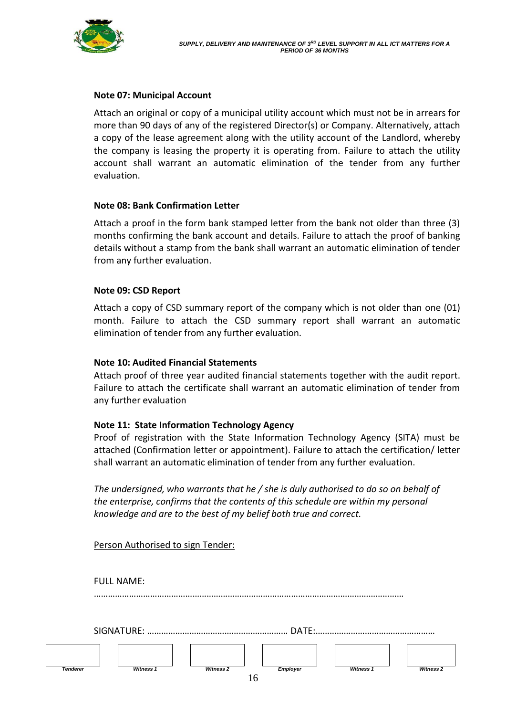

#### **Note 07: Municipal Account**

Attach an original or copy of a municipal utility account which must not be in arrears for more than 90 days of any of the registered Director(s) or Company. Alternatively, attach a copy of the lease agreement along with the utility account of the Landlord, whereby the company is leasing the property it is operating from. Failure to attach the utility account shall warrant an automatic elimination of the tender from any further evaluation.

#### **Note 08: Bank Confirmation Letter**

Attach a proof in the form bank stamped letter from the bank not older than three (3) months confirming the bank account and details. Failure to attach the proof of banking details without a stamp from the bank shall warrant an automatic elimination of tender from any further evaluation.

#### **Note 09: CSD Report**

Attach a copy of CSD summary report of the company which is not older than one (01) month. Failure to attach the CSD summary report shall warrant an automatic elimination of tender from any further evaluation.

#### **Note 10: Audited Financial Statements**

Attach proof of three year audited financial statements together with the audit report. Failure to attach the certificate shall warrant an automatic elimination of tender from any further evaluation

#### **Note 11: State Information Technology Agency**

Proof of registration with the State Information Technology Agency (SITA) must be attached (Confirmation letter or appointment). Failure to attach the certification/ letter shall warrant an automatic elimination of tender from any further evaluation.

*The undersigned, who warrants that he / she is duly authorised to do so on behalf of the enterprise, confirms that the contents of this schedule are within my personal knowledge and are to the best of my belief both true and correct.*

Person Authorised to sign Tender:

FULL NAME: ……………………………………………………………………………………………………………………

|  | -AIGNA |  |
|--|--------|--|
|--|--------|--|

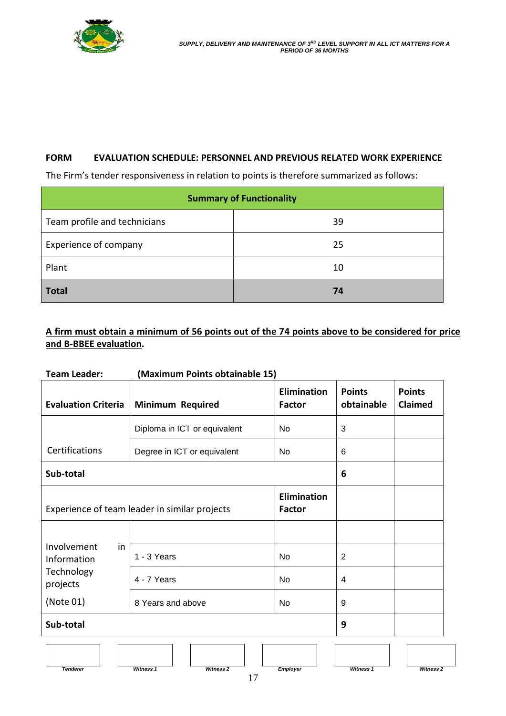

#### **FORM EVALUATION SCHEDULE: PERSONNEL AND PREVIOUS RELATED WORK EXPERIENCE**

The Firm's tender responsiveness in relation to points is therefore summarized as follows:

|                              | <b>Summary of Functionality</b> |
|------------------------------|---------------------------------|
| Team profile and technicians | 39                              |
| <b>Experience of company</b> | 25                              |
| Plant                        | 10                              |
| <b>Total</b>                 | 74                              |

## **A firm must obtain a minimum of 56 points out of the 74 points above to be considered for price and B-BBEE evaluation.**

| <b>Team Leader:</b>              | (Maximum Points obtainable 15)                |                                     |                             |                          |
|----------------------------------|-----------------------------------------------|-------------------------------------|-----------------------------|--------------------------|
| <b>Evaluation Criteria</b>       | <b>Minimum Required</b>                       | <b>Elimination</b><br><b>Factor</b> | <b>Points</b><br>obtainable | <b>Points</b><br>Claimed |
|                                  | Diploma in ICT or equivalent                  | No                                  | 3                           |                          |
| Certifications                   | Degree in ICT or equivalent                   | No                                  | 6                           |                          |
| Sub-total                        |                                               |                                     | 6                           |                          |
|                                  | Experience of team leader in similar projects | <b>Elimination</b><br><b>Factor</b> |                             |                          |
|                                  |                                               |                                     |                             |                          |
| Involvement<br>in<br>Information | 1 - 3 Years                                   | <b>No</b>                           | $\overline{2}$              |                          |
| Technology<br>projects           | 4 - 7 Years                                   | <b>No</b>                           | $\overline{4}$              |                          |
| (Note 01)                        | 8 Years and above                             | <b>No</b>                           | 9                           |                          |
| Sub-total                        |                                               |                                     | 9                           |                          |
|                                  |                                               |                                     |                             |                          |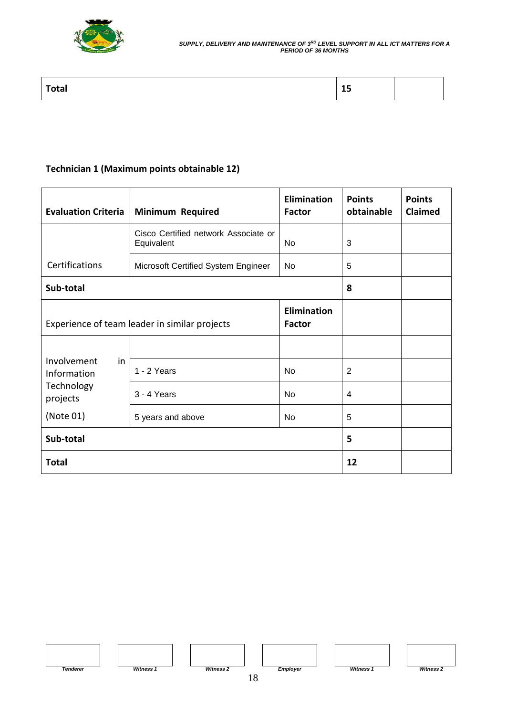

| <b>Takes</b><br>ᅩ<br><u>om</u> |
|--------------------------------|
|--------------------------------|

## **Technician 1 (Maximum points obtainable 12)**

| <b>Evaluation Criteria</b>                                                           | <b>Minimum Required</b>                            | <b>Elimination</b><br><b>Factor</b> | <b>Points</b><br>obtainable | <b>Points</b><br>Claimed |
|--------------------------------------------------------------------------------------|----------------------------------------------------|-------------------------------------|-----------------------------|--------------------------|
|                                                                                      | Cisco Certified network Associate or<br>Equivalent | <b>No</b>                           | 3                           |                          |
| Certifications                                                                       | Microsoft Certified System Engineer                | No                                  | 5                           |                          |
| Sub-total                                                                            |                                                    |                                     | 8                           |                          |
| <b>Elimination</b><br>Experience of team leader in similar projects<br><b>Factor</b> |                                                    |                                     |                             |                          |
| Involvement<br>in<br>Information                                                     |                                                    |                                     |                             |                          |
|                                                                                      | 1 - 2 Years                                        | <b>No</b>                           | $\overline{2}$              |                          |
| Technology<br>projects                                                               | 3 - 4 Years                                        | No                                  | 4                           |                          |
| (Note 01)                                                                            | 5 years and above                                  | <b>No</b>                           | 5                           |                          |
| Sub-total                                                                            |                                                    |                                     | 5                           |                          |
| <b>Total</b>                                                                         |                                                    |                                     | 12                          |                          |

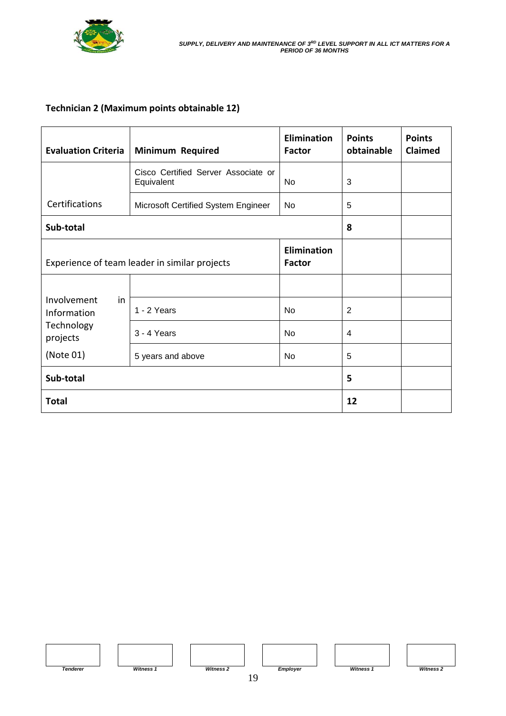

### **Technician 2 (Maximum points obtainable 12)**

| <b>Evaluation Criteria</b>                                                           | <b>Minimum Required</b>                           | <b>Elimination</b><br><b>Factor</b> | <b>Points</b><br>obtainable | <b>Points</b><br>Claimed |
|--------------------------------------------------------------------------------------|---------------------------------------------------|-------------------------------------|-----------------------------|--------------------------|
|                                                                                      | Cisco Certified Server Associate or<br>Equivalent | No                                  | 3                           |                          |
| Certifications                                                                       | Microsoft Certified System Engineer               | No                                  | 5                           |                          |
| Sub-total                                                                            |                                                   |                                     | 8                           |                          |
| <b>Elimination</b><br>Experience of team leader in similar projects<br><b>Factor</b> |                                                   |                                     |                             |                          |
|                                                                                      |                                                   |                                     |                             |                          |
| Involvement<br>in<br>Information<br>Technology<br>projects<br>(Note 01)              | 1 - 2 Years                                       | <b>No</b>                           | 2                           |                          |
|                                                                                      | 3 - 4 Years                                       | <b>No</b>                           | 4                           |                          |
|                                                                                      | 5 years and above                                 | <b>No</b>                           | 5                           |                          |
| Sub-total                                                                            |                                                   |                                     | 5                           |                          |
| <b>Total</b>                                                                         |                                                   |                                     | 12                          |                          |

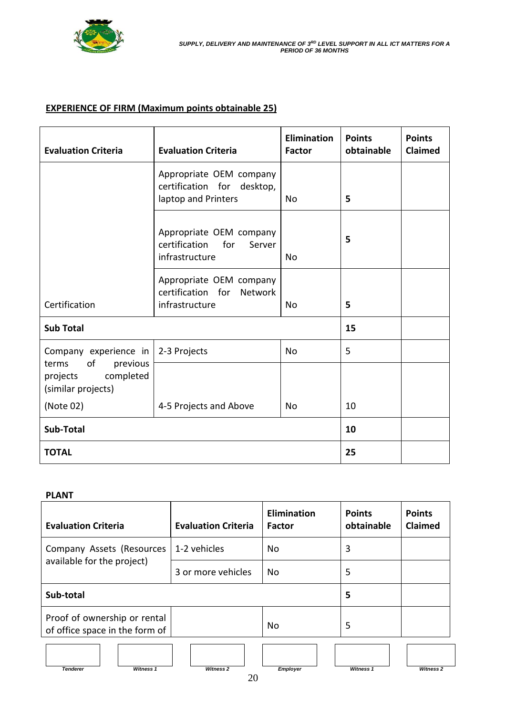

### **EXPERIENCE OF FIRM (Maximum points obtainable 25)**

| <b>Evaluation Criteria</b>                                             | <b>Evaluation Criteria</b>                                                   | <b>Elimination</b><br><b>Factor</b> | <b>Points</b><br>obtainable | <b>Points</b><br>Claimed |
|------------------------------------------------------------------------|------------------------------------------------------------------------------|-------------------------------------|-----------------------------|--------------------------|
|                                                                        | Appropriate OEM company<br>certification for desktop,<br>laptop and Printers | No.                                 | 5                           |                          |
|                                                                        | Appropriate OEM company<br>certification<br>for<br>Server<br>infrastructure  | No.                                 | 5                           |                          |
| Certification                                                          | Appropriate OEM company<br>certification for Network<br>infrastructure       | No.                                 | 5                           |                          |
| <b>Sub Total</b>                                                       |                                                                              |                                     | 15                          |                          |
| Company experience in                                                  | 2-3 Projects                                                                 | <b>No</b>                           | 5                           |                          |
| of<br>previous<br>terms<br>completed<br>projects<br>(similar projects) |                                                                              |                                     |                             |                          |
| (Note 02)                                                              | 4-5 Projects and Above                                                       | No.                                 | 10                          |                          |
| Sub-Total                                                              |                                                                              |                                     | 10                          |                          |
| <b>TOTAL</b>                                                           |                                                                              |                                     | 25                          |                          |

#### **PLANT**

| <b>Evaluation Criteria</b>                                     |                  | <b>Evaluation Criteria</b> | <b>Elimination</b><br><b>Factor</b> | <b>Points</b><br>obtainable | <b>Points</b><br>Claimed |  |
|----------------------------------------------------------------|------------------|----------------------------|-------------------------------------|-----------------------------|--------------------------|--|
| Company Assets (Resources<br>available for the project)        |                  | 1-2 vehicles               | <b>No</b>                           | 3                           |                          |  |
|                                                                |                  | 3 or more vehicles         | No                                  | 5                           |                          |  |
| Sub-total                                                      |                  |                            |                                     | 5                           |                          |  |
| Proof of ownership or rental<br>of office space in the form of |                  |                            | No                                  | 5                           |                          |  |
| <b>Tenderer</b>                                                | <b>Witness 1</b> | <b>Witness 2</b>           | <b>Employer</b>                     | <b>Witness 1</b>            | <b>Witness 2</b>         |  |
|                                                                |                  | $\bigcap$                  |                                     |                             |                          |  |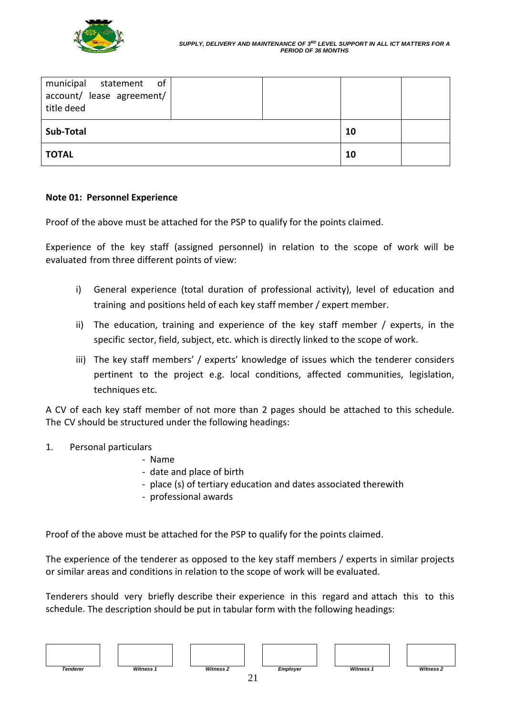

| municipal statement of<br>account/ lease agreement/<br>title deed |  |    |  |
|-------------------------------------------------------------------|--|----|--|
| Sub-Total                                                         |  | 10 |  |
| <b>TOTAL</b>                                                      |  | 10 |  |

#### **Note 01: Personnel Experience**

Proof of the above must be attached for the PSP to qualify for the points claimed.

Experience of the key staff (assigned personnel) in relation to the scope of work will be evaluated from three different points of view:

- i) General experience (total duration of professional activity), level of education and training and positions held of each key staff member / expert member.
- ii) The education, training and experience of the key staff member / experts, in the specific sector, field, subject, etc. which is directly linked to the scope of work.
- iii) The key staff members' / experts' knowledge of issues which the tenderer considers pertinent to the project e.g. local conditions, affected communities, legislation, techniques etc.

A CV of each key staff member of not more than 2 pages should be attached to this schedule. The CV should be structured under the following headings:

- 1. Personal particulars
	- Name
	- date and place of birth
	- place (s) of tertiary education and dates associated therewith
	- professional awards

Proof of the above must be attached for the PSP to qualify for the points claimed.

The experience of the tenderer as opposed to the key staff members / experts in similar projects or similar areas and conditions in relation to the scope of work will be evaluated.

Tenderers should very briefly describe their experience in this regard and attach this to this schedule. The description should be put in tabular form with the following headings: